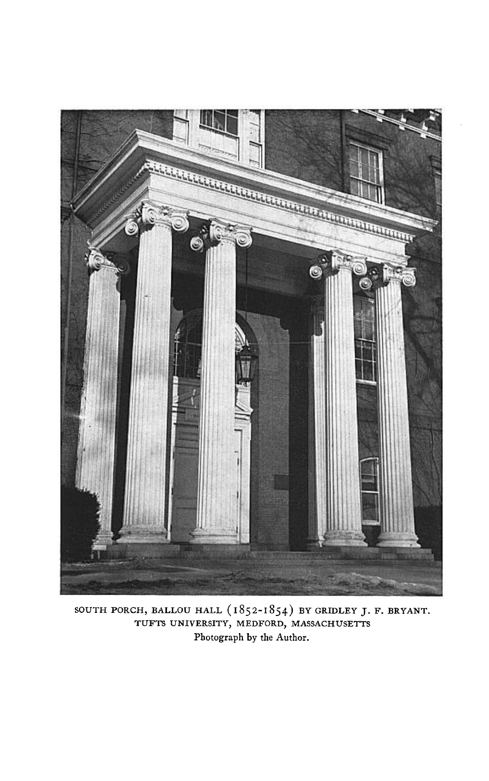

**SOUTH PORCH, BALLOU HALL (1852-I 854) BY GRIDLEY J. F. BRYANT. TUFTS UNIVERSITY, MEDFORD, MASSACHUSETTS Photograph by the Author.**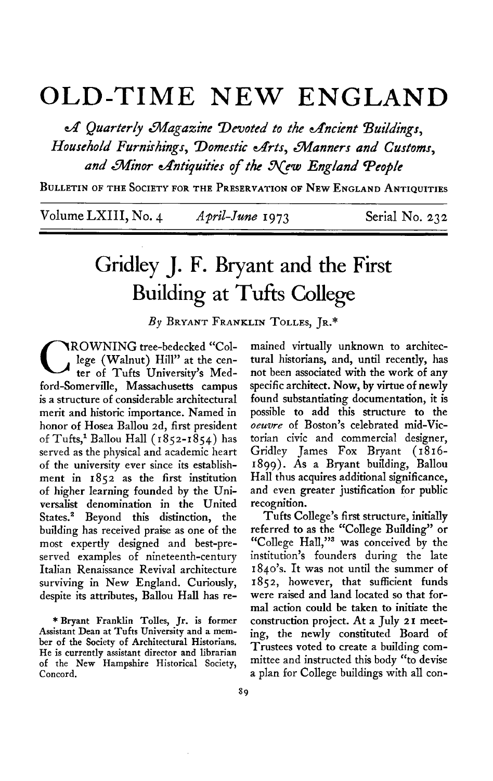## **OLD-TIME NEW ENGLAND**

 $\mathcal A$  Quarterly Magazine Devoted to the Ancient Buildings, Household Furnishings, Domestic Arts, Manners and Customs. and Minor Antiquities of the New England People

**BULLETIN OF THE SOCIETY FOR THE PRESERVATION OF NEW ENGLAND ANTIQUITIES** 

**Volume LXIII, No. 4 April-June 1973 Serial No. 232** 

## **Gridley J. F. Bryant and the First Building at Tufts College**

**By BRYANT FRANKLIN TOLLES, JR.\*** 

**C ROWNING** tree-bedecked "College (Walnut) Hill" at the center of Tufts University's Med**lege (Walnut) Hill" at the cenford-Somerville, Massachusetts campus is a structure of considerable architectural merit and historic importance. Named in honor of Hosea Ballou 2d, first president of Tufts,l Ballou Hall (1852-1854) has served as the physical and academic heart of the university ever since its establishment in 1852 as the first institution of higher learning founded by the Universalist denomination in the United States.' Beyond this distinction, the building has received praise as one of the most expertly designed and best-preserved examples of nineteenth-century Italian Renaissance Revival architecture surviving in New England. Curiously, despite its attributes, Ballou Hall has re-** 

**\*Bryant Franklin Tolles, Jr. is former Assistant Dean at Tufts University and a member of the Society of Architectural Historians. He is currently assistant director and librarian of the New Hampshire Historical Society, Concord.** 

**mained virtually unknown to architectural historians, and, until recently, has not been associated with the work of any specific architect. Now, by virtue of newly found substantiating documentation, it is possible to add this structure to the oeuvre of Boston's celebrated mid-Victorian civic and commercial designer, Gridley James Fox Bryant ( 18 16- 1899). As a Bryant building, Ballou Hall thus acquires additional significance, and even greater justification for public recognition.** 

**Tufts College's first structure, initially referred to as the "College Building" or "College Ha11,"3 was conceived by the institution's founders during the late 1840's. It was not until the summer of 1852, however, that sufficient funds were raised and land located so that formal action could be taken to initiate the construction project. At a July 21 meeting, the newly constituted Board of Trustees voted to create a building committee and instructed this body "to devise a plan for College buildings with all con-**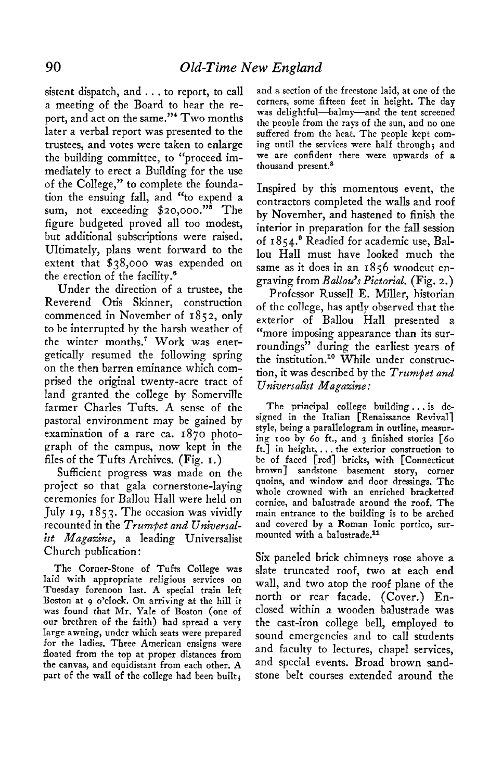**sistent dispatch, and . . . to report, to call a meeting of the Board to hear the report, and act on the same."4 Two months later a verbal report was presented to the trustees, and votes were taken to enlarge the building committee, to "proceed immediately to erect a Building for the use of the College," to complete the foundation the ensuing fall, and "to expend a sum, not exceeding \$~o,ooo."~ The figure budgeted proved all too modest, but additional subscriptions were raised. Ultimately, plans went forward to the extent that \$38,000 was expended on the erection of the facility.'** 

**Under the direction of a trustee, the Reverend Otis Skinner, construction commenced in November of I 85 2, only to be interrupted by the harsh weather of the winter months.? Work was energetically resumed the following spring on the then barren eminance which comprised the original twenty-acre tract of land granted the college by Somerville farmer Charles Tufts. A sense of the pastoral environment may be gained by examination of a rare ca. 1870 photograph of the campus, now kept in the files of the Tufts Archives. (Fig. I.)** 

**Sufficient progress was made on the project so that gala cornerstone-laying ceremonies for Ballou Hall were held on**  July 19, 1853. The occasion was vividly **recounted in the Trumpet and Universalist Magazine, a leading Universalist Church publication:** 

**The Corner-Stone of Tufts College was laid with appropriate religious services on**  Tuesday forenoon last. A special train left **Boston at 9 o'clock. On arriving at the hill it was found that Mr. Yale of Boston (one of our brethren of the faith) had spread a very large awning, under which seats were prepared for the ladies. Three American ensigns were floated from the top at proper distances from the canvas, and equidistant from each other. A part of the wall of the college had been built;** 

**and a section of the freestone laid, at one of the corners, some fifteen feet in height. The day was delightful-balmy-and the tent screened the people from the rays of the sun, and no one suffered from the heat. The people kept coming until the services were half through; and we are confident there were upwards of a thousand present.8** 

**Inspired by this momentous event, the contractors completed the walls and roof by November, and hastened to finish the interior in preparation for the fall session of 1854.' Readied for academic use, Ballou Hall must have looked much the same as it does in an 1856 woodcut engraving from Ballou's Pictorial. (Fig. 2.)** 

**Professor Russell E. Miller, historian of the college, has aptly observed that the exterior of Ballou Hall presented a "more imposing appearance than its surroundings" during the earliest years of**  the institution.<sup>10</sup> While under construc**tion, it was described by the Trumpet and Universalist Magazine:** 

**The principal college building. . . is designed in the Italian [Renaissance Revival] style, being a parallelogram in outline, measuring IOO by 60 ft., and 3 finished stories [60 ft.] in height,. . . the exterior construction to be of faced [red] bricks, with [Connecticut brown] sandstone basement story, corner quoins, and window and door dressings. The whole crowned with an enriched bracketted cornice, and balustrade around the roof. The main entrance to the building is to be arched and covered by a Roman Ionic portico, surmounted with a balustrade.ll** 

**Six paneled brick chimneys rose above a slate truncated roof, two at each end wall, and two atop the roof plane of the north or rear facade. (Cover.) Enclosed within a wooden balustrade was the cast-iron college bell, employed to sound emergencies and to call students and faculty to lectures, chapel services, and special events. Broad brown sandstone belt courses extended around the**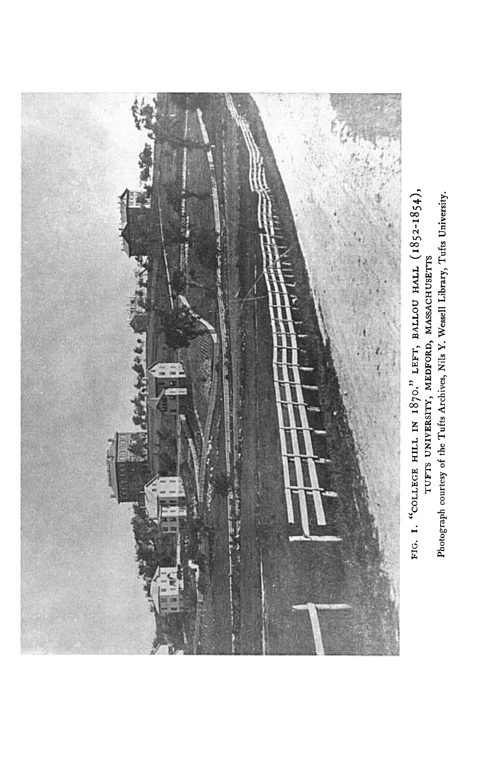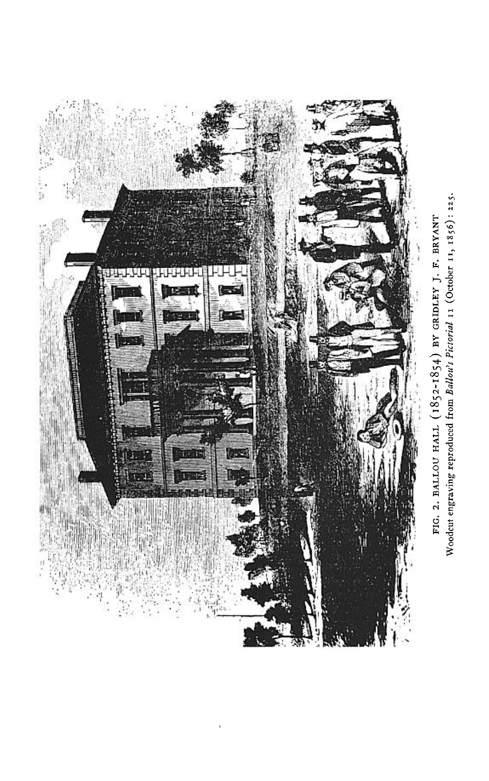

Woodcut engraving reproduced from Ballou's Pictorial 11 (October 11, 1856): 225. FIG. 2. BALLOU HALL (1852-1854) BY GRIDLEY J. F. BRYANT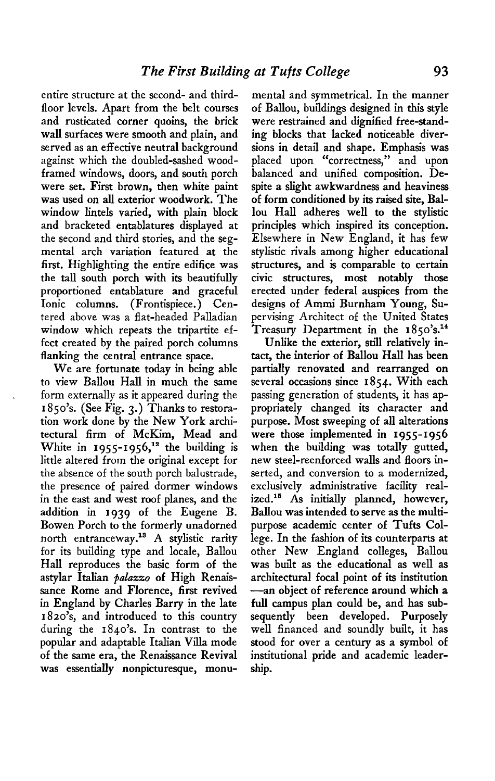**entire structure at the second- and thirdfloor levels. Apart from the belt courses and rusticated corner quoins, the brick wall surfaces were smooth and plain, and served as an effective neutral background against which the doubled-sashed woodframed windows, doors, and south porch were set. First brown, then white paint was used on all exterior woodwork. The window lintels varied, with plain block and bracketed entablatures displayed at the second and third stories, and the segmental arch variation featured at the first. Highlighting the entire edifice was the tall south porch with its beautifully proportioned entablature and graceful Ionic columns. (Frontispiece.) Centered above was a flat-headed Palladian window which repeats the tripartite effect created by the paired porch columns flanking the central entrance space.** 

**We are fortunate today in being able to view Ballou Hall in much the same form externally as it appeared during the 1850's. (See Fig. 3.) Thanks to restoration work done by the New York archi**tectural firm of McKim, Mead and White in 1955-1956,<sup>12</sup> the building is **little altered from the original except for the absence of the south porch balustrade, the presence of paired dormer windows in the east and west roof planes, and the addition in 1939 of the Eugene B. Bowen Porch to the formerly unadorned north entranceway.ls A stylistic rarity for its building type and locale, Ballou Hall reproduces the basic form of the astylar Italian pulazzo of High Renaissance Rome and Florence, first revived in England by Charles Barry in the late 1820's, and introduced to this country during the 1840's. In contrast to the popular and adaptable Italian Villa mode of the same era, the Renaissance Revival was essentially nonpicturesque, monu-**

**mental and symmetrical. In the manner of Ballou, buildings designed in this style were restrained and dignified free-standing blocks that lacked noticeable diversions in detail and shape. Emphasis was placed upon "correctness," and upon balanced and unified composition. Despite a slight awkwardness and heaviness of form conditioned by its raised site, Ballou Hall adheres well to the stylistic principles which inspired its conception. Elsewhere in New England, it has few stylistic rivals among higher educational structures, and is comparable to certain civic structures, most notably those erected under federal auspices from the designs of Ammi Burnham Young, Supervising Architect of the United States Treasury Department in the 1850's.'~** 

**Unlike the exterior, still relatively intact, the interior of Ballou Hall has been partially renovated and rearranged on several occasions since 1854. With each passing generation of students, it has appropriately changed its character and purpose. Most sweeping of all alterations were those implemented in 1955-1956 when the building was totally gutted, new steel-reenforced walls and floors inserted, and conversion to a modernized, exclusively administrative facility realized.15 As initially planned, however, Ballou was intended to serve as the multipurpose academic center of Tufts College. In the fashion of its counterparts at other New England colleges, Ballou was built as the educational as well as architectural focal point of its institution -an object of reference around which a full campus plan could be, and has subsequently been developed. Purposely well financed and soundly built, it has stood for over a century as a symbol of institutional pride and academic leadership.**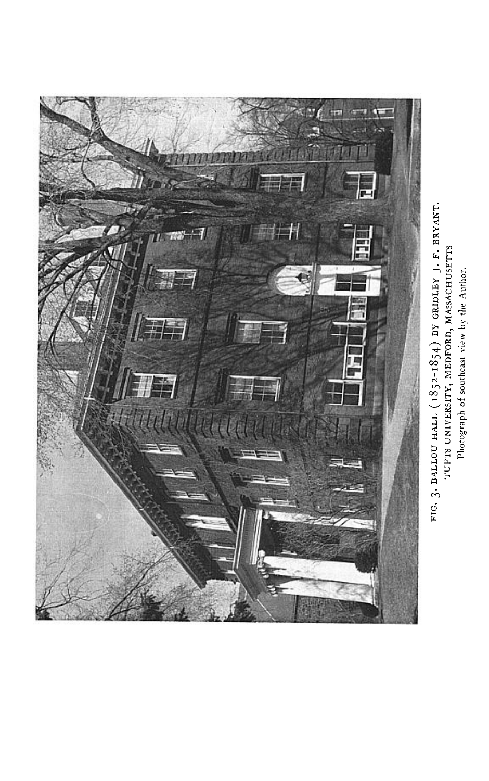

FIG. 3. BALLOU HALL (1852-1854) BY GRIDLEY J. F. BRYANT. TUFTS UNIVERSITY, MEDFORD, MASSACHUSETTS Photograph of southeast view by the Author.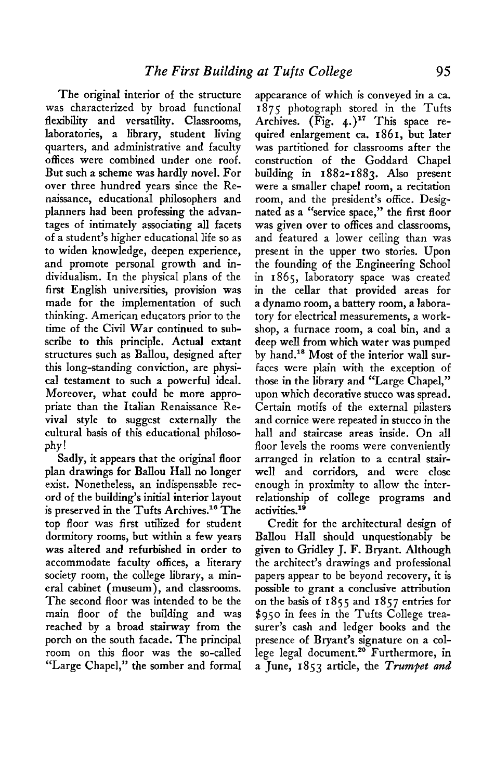**The original interior of the structure was characterized by broad functional flexibility and versatility. Classrooms, laboratories, a library, student living quarters, and administrative and faculty ofices were combined under one roof. But such a scheme was hardly novel. For over three hundred years since the Renaissance, educational philosophers and planners had been professing the advantages of intimately associating all facets of a student's higher educational life so as to widen knowledge, deepen experience, and promote personal growth and individualism. In the physical plans of the first English universities, provision was made for the implementation of such thinking. American educators prior to the time of the Civil War continued to subscribe to this principle. Actual extant structures such as Ballou, designed after this long-standing conviction, are physical testament to such a powerful ideal. Moreover, what could be more appropriate than the Italian Renaissance Revival style to suggest externally the cultural basis of this educational philosophy!** 

**Sadly, it appears that the original floor plan drawings for Ballou Hall no longer exist. Nonetheless, an indispensable record of the building's initial interior layout is preserved in the Tufts Archives." The top floor was first utilized for student dormitory rooms, but within a few years was altered and refurbished in order to accommodate faculty offices, a literary society room, the college library, a mineral cabinet (museum), and classrooms. The second floor was intended to be the main floor of the building and was reached by a broad stairway from the porch on the south facade. The principal room on this floor was the so-called "Large Chapel," the somber and formal**  **appearance of which is conveyed in a ca. 1875 photograph stored in the Tufts**  Archives. (Fig. 4.)<sup>17</sup> This space re**quired enlargement ca. 1861, but later was partitioned for classrooms after the construction of the Goddard Chapel building in 1882-1883. Also present were a smaller chapel room, a recitation room, and the president's office. Designated as a "service space," the first floor was given over to ofices and classrooms, and featured a lower ceiling than was present in the upper two stories. Upon the founding of the Engineering School in 1865, laboratory space was created in the cellar that provided areas for a dynamo room, a battery room, a laboratory for electrical measurements, a workshop, a furnace room, a coal bin, and a deep well from which water was pumped**  by hand.<sup>18</sup> Most of the interior wall sur**faces were plain with the exception of those in the library and "Large Chapel," upon which decorative stucco was spread. Certain motifs of the external pilasters and cornice were repeated in stucco in the hall and staircase areas inside. On all floor levels the rooms were conveniently arranged in relation to a central stairwell and corridors, and were close enough in proximity to allow the interrelationship of college programs and**  activities.<sup>19</sup>

**Credit for the architectural design of Ballou Hall should unquestionably be given to Gridley J. F. Bryant. Although the architect's drawings and professional papers appear to be beyond recovery, it is possible to grant a conclusive attribution on the basis of I 855 and 1857 entries for \$950 in fees in the Tufts College treasurer's cash and ledger books and the presence of Bryant's signature on a college legal document.20 Furthermore, in a June, I 853 article, the Trumpet and**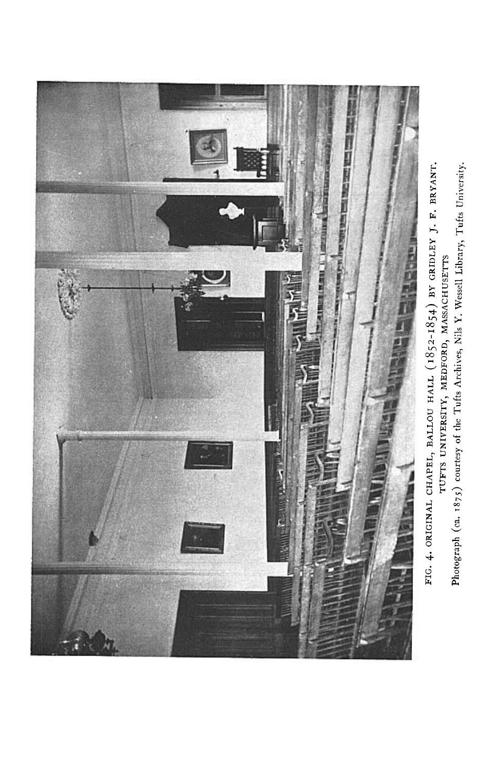

FIG. 4. ORIGINAL CHAPEL, BALLOU HALL (1852-1854) BY GRIDLEY J. F. BRYANT. Photograph (ca. 1875) courtesy of the Tufts Archives, Nils Y. Wessell Library, Tufts University. TUFTS UNIVERSITY, MEDFORD, MASSACHUSETTS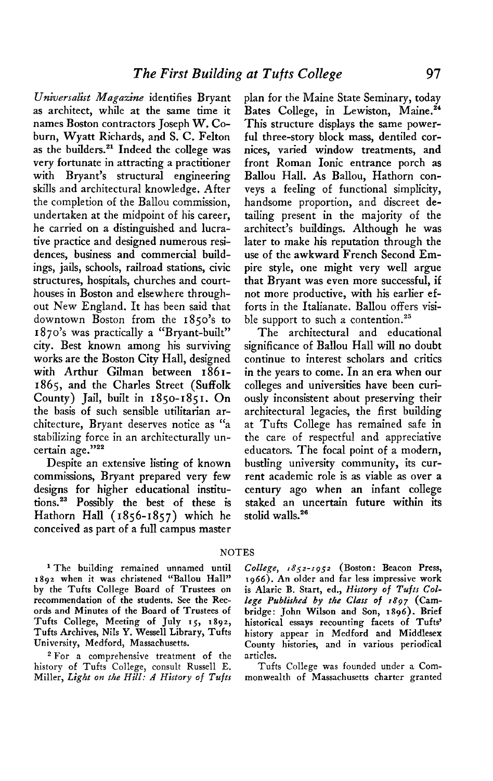**UniversaList Magazine identifies Bryant as architect, while at the same time it names Boston contractors Joseph W. Coburn, Wyatt Richards, and S. C. Felton as the builders.'l Indeed the college was very fortunate in attracting a practitioner with Bryant's structural engineering skills and architectural knowledge. After the completion of the Ballou commission, undertaken at the midpoint of his career, he carried on a distinguished and lucrative practice and designed numerous residences, business and commercial buildings, jails, schools, railroad stations, civic structures, hospitals, churches and courthouses in Boston and elsewhere throughout New England. It has been said that downtown Boston from the 1850's to I 870's was practically a "Bryant-built" city. Best known among his surviving works are the Boston City Hall, designed with Arthur Gilman between 1861- 1865, and the Charles Street (Suffolk County) Jail, built in 1850-1851. On the basis of such sensible utilitarian architecture, Bryant deserves notice as "a stabilizing force in an architecturally un**certain age."<sup>22</sup>

**Despite an extensive listing of known commissions, Bryant prepared very few designs for higher educational institutions.23 Possibly the best of these is Hathorn Hall (1856-1857) which he conceived as part of a full campus master** 

**plan for the Maine State Seminary, today**  Bates College, in Lewiston, Maine.<sup>24</sup> **This structure displays the same powerful three-story block mass, dentiled cornices, varied window treatments, and front Roman Ionic entrance porch as Ballou Hall. As Ballou, Hathorn conveys a feeling of functional simplicity, handsome proportion, and discreet detailing present in the majority of the architect's buildings. Although he was later to make his reputation through the use of the awkward French Second Empire style, one might very well argue that Bryant was even more successful, if not more productive, with his earlier efforts in the Italianate. Ballou offers visi**ble support to such a contention.<sup>25</sup>

**The architectural and educational significance of Ballou Hall will no doubt continue to interest scholars and critics in the years to come. In an era when our colleges and universities have been curiously inconsistent about preserving their architectural legacies, the first building at Tufts College has remained safe in the care of respectful and appreciative educators. The focal point of a modern, bustling university community, its current academic role is as viable as over a century ago when an infant college staked an uncertain future within its stolid walls.26** 

## **NOTES**

<sup>1</sup> The building remained unnamed until 1892 when it was christened "Ballou Hall" by the Tufts College Board of Trustees on is Alaric B. Start, ed., *History of Tufts Col*recommendation of the students. See the Rec- lege Published by the Class of 1897 (Cam**ords and Minutes of the Board of Trustees of Tufts College, Meeting of July 15, 1892, Tufts Archives, Nils Y. Wessell Library, Tufts University, Medford, Massachusetts.** 

**\*For a comprehensive treatment of the articles. history of Tufts College, consult Russell E. Tufts College was founded under a Com-Miller, Light on the Hill: A History of Tufts monwealth of Massachusetts charter granted** 

College, 1852-1952 (Boston: Beacon Press,<br>1966). An older and far less impressive work **bridge: John Wilson and Son, 1896). Brief historical essays recounting facets of Tufts' history appear in Medford and Middlesex County histories, and in various periodical**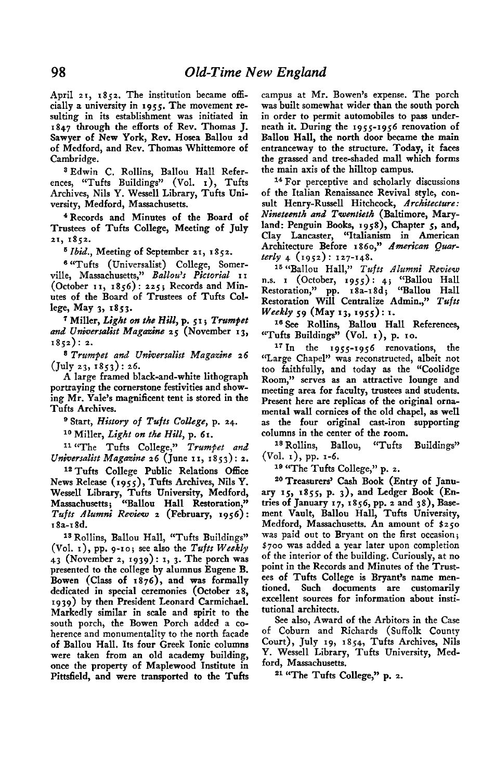**April 2 I, 1852. The institution became officially a university in 1955. The movement resulting in its establishment was initiated in 1847 through the efforts of Rev. Thomas J. Sawyer of New York, Rev. Hosea Ballou zd of Medford, and Rev. Thomas Whittemore of Cambridge.** 

**a Edwin C. Rollins, Ballou Hall References, "Tufts Buildings" (Vol. I), Tufts**  Archives, Nils Y. Wessell Library, Tufts Uni**versity, Medford, Massachusetts.** 

**4 Records and Minutes of the Board of Trustees of Tufts College, Meeting of July 21, 1852.** 

**s Ibid., Meeting of September 21, 1852.** 

**6 "Tufts (Universalist) College, Somerville, Massachusetts," Ballous ' Pictorial I I (October II, 1856): 225; Records and Minutes of the Board of Trustees of Tufts College, May 3, 18.53.** 

 $^7$  Miller, *Light on the Hill*, p. 51; *Trumpet* and Universalist Magazine 25 (November 13, **1852): 2.** 

**s Trumpet and Uniwersalist Magazine 26 (July 23, i853): 26.** 

A large framed black-and-white lithograph portraying the cornerstone festivities and show**ing Mr. Yale's magnificent tent is stored in the Tufts Archives.** 

**n Start, History of Tufts College, p. 24.** 

<sup>10</sup> Miller, *Light on the Hill*, p. 61.

**I1 "The Tufts College," Trumpet and Uniwersalist Magazine 26 (June I I, I 8 5 3) : 2.** 

**12Tufts College Public Relations Office News Release (1955), Tufts Archives, Nils Y.**  Wessell Library, Tufts University, Medford **Massachusetts; "'Ballou Hall Restoration,"**  Tufts Alumni Review 2 (February, 1956): **I Sa-r 8d.** 

**1s Rollins, Ballou Hall, "Tufts Buildings" (Vol. I), pp. 9-10; see also the Tufts Weekly 43 (November 2, 1939): I, 3. The porch was presented to the college by alumnus Eugene B. Bowen (Class of I 876), and was formally dedicated in special ceremonies (October 28, 1939) by then President Leonard Carmichael. Markedly similar in scale and spirit to the south porch, the Bowen Porch added a coherence and monumentality to the north facade of Ballou Hall, Its four Greek Ionic columns were taken from an old academy building, once the property of Maplewood Institute in Pittsfield, and were transported to the Tufts**  **campus at Mr. Bowen's expense. The porch was built somewhat wider than the south porch in order to permit automobiles to pass underneath it. During the 1955-1956 renovation of Ballou Hall, the north door became the main entranceway to the structure. Today, it faces the grassed and tree-shaded mall which forms the main axis of the hilltop campus.** 

**I4 For perceptive and scholarly discussions of the Italian Renaissance Revival style, consult Henry-Russell Hitchcock, Architecture: Nineteenth and Twentieth (Baltimore, Maryland: Penguin Books, 1958), Chapter 5, and, Clay Lancaster, "Italianism in American**  Architecture Before 1860," American Quar**t+J 4 (1952): 127-148.** 

<sup>15</sup> "Ballou Hall," Tufts Alumni Review **n.s. I (October, 1955): 4; "Ballou Hall Restoration," pp. r8a-r8d; "Ballou Hall Restoration Will Centralize Admin.," Tufts Weekly 59 (May 13, 1955) : I.** 

**I6 See Rollins, Ballou Hall References, "'Tufts Buildings" (Vol. I), p. IO.** 

**l7 In the 1955-1956 renovations, the "Large Chapel" was reconstructed, albeit not too faithfully, and today as the "Coolidge Room," serves as an attractive lounge and meeting area for faculty, trustees and students. Present here are replicas of the original ornamental wall cornices of the old chapel, as well as the four original cast-iron supporting columns in the center of the room.** 

**ls Rollins, Ballou, "Tufts Buildings" (Vol. I), pp. 1-6.** 

**lo "The Tufts College," p. 2.** 

<sup>20</sup> Treasurers' Cash Book (Entry of Janu**ary 15, 1855, p. 3), and Ledger Book (Entries of January 17, 1856, pp. 2 and 38), Basement Vault, Ballou Hall, Tufts University, Medford, Massachusetts. An amount of \$250 was paid out to Bryant on the first occasion; \$700 was added a year later upon completion of the interior of the building. Curiously, at no point in the Records and Minutes of the Trustees of Tufts College is Bryant's name mentioned. Such documents are customarily excellent sources for information about institutional architects.** 

**See also, Award of the Arbitors in the Case of Coburn and Richards (Suffolk County Court), July 19, I 854, Tufts Archives, Nils Y. Wessell Library, Tufts University, Medford, Massachusetts.** 

**21 "The Tufts College," p. 2.**